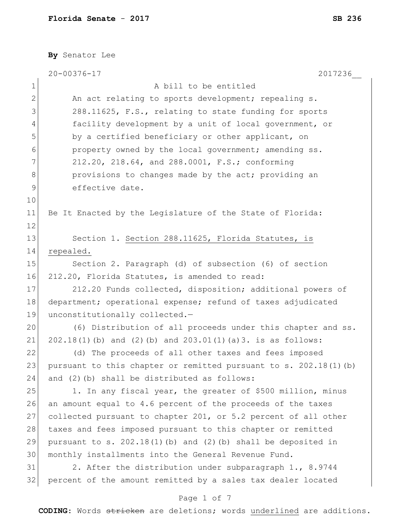**By** Senator Lee

|              | $20 - 00376 - 17$<br>2017236                                      |
|--------------|-------------------------------------------------------------------|
| 1            | A bill to be entitled                                             |
| $\mathbf{2}$ | An act relating to sports development; repealing s.               |
| 3            | 288.11625, F.S., relating to state funding for sports             |
| 4            | facility development by a unit of local government, or            |
| 5            | by a certified beneficiary or other applicant, on                 |
| 6            | property owned by the local government; amending ss.              |
| 7            | 212.20, 218.64, and 288.0001, F.S.; conforming                    |
| 8            | provisions to changes made by the act; providing an               |
| 9            | effective date.                                                   |
| 10           |                                                                   |
| 11           | Be It Enacted by the Legislature of the State of Florida:         |
| 12           |                                                                   |
| 13           | Section 1. Section 288.11625, Florida Statutes, is                |
| 14           | repealed.                                                         |
| 15           | Section 2. Paragraph (d) of subsection (6) of section             |
| 16           | 212.20, Florida Statutes, is amended to read:                     |
| 17           | 212.20 Funds collected, disposition; additional powers of         |
| 18           | department; operational expense; refund of taxes adjudicated      |
| 19           | unconstitutionally collected.-                                    |
| 20           | (6) Distribution of all proceeds under this chapter and ss.       |
| 21           | $202.18(1)$ (b) and (2) (b) and $203.01(1)$ (a) 3. is as follows: |
| 22           | (d) The proceeds of all other taxes and fees imposed              |
| 23           | pursuant to this chapter or remitted pursuant to s. 202.18(1)(b)  |
| 24           | and (2) (b) shall be distributed as follows:                      |
| 25           | 1. In any fiscal year, the greater of \$500 million, minus        |
| 26           | an amount equal to 4.6 percent of the proceeds of the taxes       |
| 27           | collected pursuant to chapter 201, or 5.2 percent of all other    |
| 28           | taxes and fees imposed pursuant to this chapter or remitted       |
| 29           | pursuant to s. $202.18(1)$ (b) and (2) (b) shall be deposited in  |
| 30           | monthly installments into the General Revenue Fund.               |
| 31           | 2. After the distribution under subparagraph 1., 8.9744           |
| 32           | percent of the amount remitted by a sales tax dealer located      |
|              | Page 1 of 7                                                       |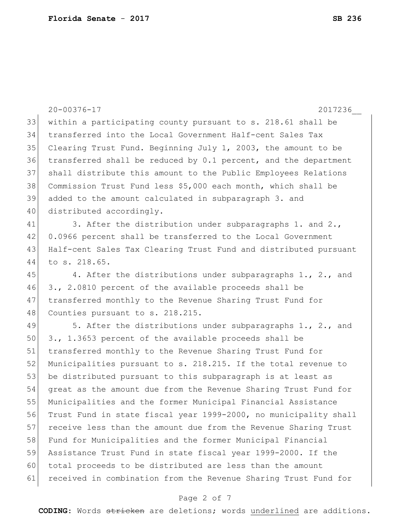|    | $20 - 00376 - 17$<br>2017236                                     |
|----|------------------------------------------------------------------|
| 33 | within a participating county pursuant to s. 218.61 shall be     |
| 34 | transferred into the Local Government Half-cent Sales Tax        |
| 35 | Clearing Trust Fund. Beginning July 1, 2003, the amount to be    |
| 36 | transferred shall be reduced by 0.1 percent, and the department  |
| 37 | shall distribute this amount to the Public Employees Relations   |
| 38 | Commission Trust Fund less \$5,000 each month, which shall be    |
| 39 | added to the amount calculated in subparagraph 3. and            |
| 40 | distributed accordingly.                                         |
| 41 | 3. After the distribution under subparagraphs 1. and 2.,         |
| 42 | 0.0966 percent shall be transferred to the Local Government      |
| 43 | Half-cent Sales Tax Clearing Trust Fund and distributed pursuant |
| 44 | to s. 218.65.                                                    |
| 45 | 4. After the distributions under subparagraphs 1., 2., and       |
| 46 | 3., 2.0810 percent of the available proceeds shall be            |
| 47 | transferred monthly to the Revenue Sharing Trust Fund for        |
| 48 | Counties pursuant to s. 218.215.                                 |
| 49 | 5. After the distributions under subparagraphs 1., 2., and       |
| 50 | 3., 1.3653 percent of the available proceeds shall be            |
| 51 | transferred monthly to the Revenue Sharing Trust Fund for        |
| 52 | Municipalities pursuant to s. 218.215. If the total revenue to   |
| 53 | be distributed pursuant to this subparagraph is at least as      |
| 54 | great as the amount due from the Revenue Sharing Trust Fund for  |
| 55 | Municipalities and the former Municipal Financial Assistance     |
| 56 | Trust Fund in state fiscal year 1999-2000, no municipality shall |
| 57 | receive less than the amount due from the Revenue Sharing Trust  |
| 58 | Fund for Municipalities and the former Municipal Financial       |
| 59 | Assistance Trust Fund in state fiscal year 1999-2000. If the     |
| 60 | total proceeds to be distributed are less than the amount        |
| 61 | received in combination from the Revenue Sharing Trust Fund for  |
|    |                                                                  |

# Page 2 of 7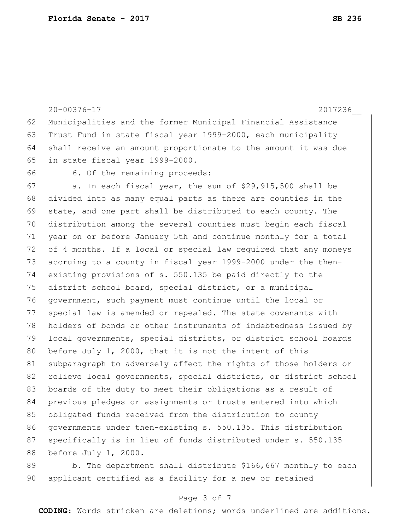20-00376-17 2017236\_\_ 62 Municipalities and the former Municipal Financial Assistance 63 Trust Fund in state fiscal year 1999-2000, each municipality 64 shall receive an amount proportionate to the amount it was due 65 in state fiscal year 1999-2000. 66 6. Of the remaining proceeds:  $67$  a. In each fiscal year, the sum of \$29,915,500 shall be 68 divided into as many equal parts as there are counties in the 69 state, and one part shall be distributed to each county. The 70 distribution among the several counties must begin each fiscal 71 year on or before January 5th and continue monthly for a total 72 of 4 months. If a local or special law required that any moneys 73 accruing to a county in fiscal year 1999-2000 under the then-74 existing provisions of s. 550.135 be paid directly to the 75 district school board, special district, or a municipal 76 government, such payment must continue until the local or 77 special law is amended or repealed. The state covenants with 78 holders of bonds or other instruments of indebtedness issued by 79 local governments, special districts, or district school boards 80 before July 1, 2000, that it is not the intent of this 81 subparagraph to adversely affect the rights of those holders or 82 relieve local governments, special districts, or district school 83 boards of the duty to meet their obligations as a result of 84 previous pledges or assignments or trusts entered into which 85 obligated funds received from the distribution to county 86 governments under then-existing s. 550.135. This distribution 87 specifically is in lieu of funds distributed under s. 550.135 88 before July 1, 2000. 89 b. The department shall distribute \$166,667 monthly to each

90 applicant certified as a facility for a new or retained

#### Page 3 of 7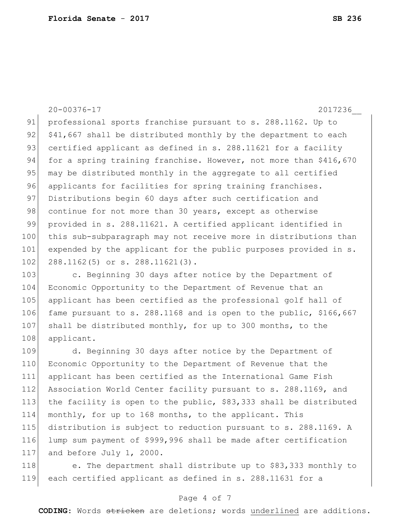20-00376-17 2017236\_\_ 91 professional sports franchise pursuant to s. 288.1162. Up to  $92$   $$41,667$  shall be distributed monthly by the department to each 93 certified applicant as defined in s. 288.11621 for a facility 94 for a spring training franchise. However, not more than \$416,670 95 may be distributed monthly in the aggregate to all certified 96 applicants for facilities for spring training franchises. 97 Distributions begin 60 days after such certification and 98 continue for not more than 30 years, except as otherwise 99 provided in s. 288.11621. A certified applicant identified in 100 this sub-subparagraph may not receive more in distributions than 101 expended by the applicant for the public purposes provided in s. 102 288.1162(5) or s. 288.11621(3). 103 c. Beginning 30 days after notice by the Department of 104 Economic Opportunity to the Department of Revenue that an

105 applicant has been certified as the professional golf hall of 106 fame pursuant to s. 288.1168 and is open to the public, \$166,667 107 shall be distributed monthly, for up to 300 months, to the 108 applicant.

 d. Beginning 30 days after notice by the Department of Economic Opportunity to the Department of Revenue that the applicant has been certified as the International Game Fish 112 Association World Center facility pursuant to s. 288.1169, and 113 the facility is open to the public,  $$83,333$  shall be distributed monthly, for up to 168 months, to the applicant. This distribution is subject to reduction pursuant to s. 288.1169. A lump sum payment of \$999,996 shall be made after certification 117 and before July 1, 2000.

118 e. The department shall distribute up to \$83,333 monthly to 119 each certified applicant as defined in s. 288.11631 for a

### Page 4 of 7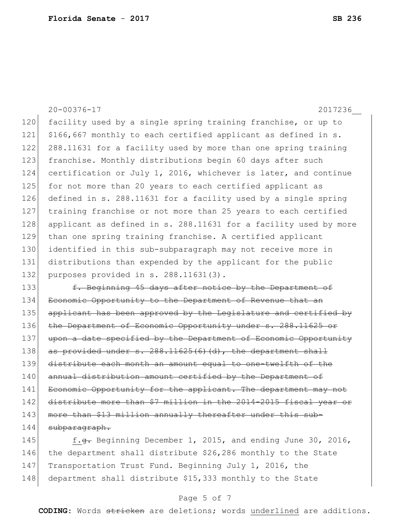20-00376-17 2017236\_\_ 120 facility used by a single spring training franchise, or up to 121 \$166,667 monthly to each certified applicant as defined in s. 122 288.11631 for a facility used by more than one spring training 123 franchise. Monthly distributions begin 60 days after such 124 certification or July 1, 2016, whichever is later, and continue 125 for not more than 20 years to each certified applicant as 126 defined in s. 288.11631 for a facility used by a single spring 127 training franchise or not more than 25 years to each certified 128 applicant as defined in s. 288.11631 for a facility used by more 129 than one spring training franchise. A certified applicant 130 identified in this sub-subparagraph may not receive more in 131 distributions than expended by the applicant for the public 132 purposes provided in s. 288.11631(3). 133 f. Beginning 45 days after notice by the Department of 134 Economic Opportunity to the Department of Revenue that an 135 applicant has been approved by the Legislature and certified by 136 the Department of Economic Opportunity under s. 288.11625 or 137 upon a date specified by the Department of Economic Opportunity 138 as provided under s. 288.11625(6)(d), the department shall 139 distribute each month an amount equal to one-twelfth of the 140 annual distribution amount certified by the Department of 141 Economic Opportunity for the applicant. The department may not 142 distribute more than \$7 million in the 2014-2015 fiscal year or 143 more than \$13 million annually thereafter under this sub-144 subparagraph. 145 f.<del>g.</del> Beginning December 1, 2015, and ending June 30, 2016,

146 the department shall distribute \$26,286 monthly to the State 147 Transportation Trust Fund. Beginning July 1, 2016, the 148 department shall distribute \$15,333 monthly to the State

#### Page 5 of 7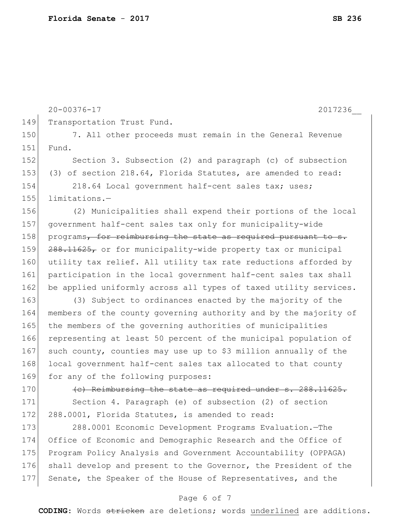|     | $20 - 00376 - 17$<br>2017236                                     |
|-----|------------------------------------------------------------------|
| 149 | Transportation Trust Fund.                                       |
| 150 | 7. All other proceeds must remain in the General Revenue         |
| 151 | Fund.                                                            |
| 152 | Section 3. Subsection (2) and paragraph (c) of subsection        |
| 153 | (3) of section 218.64, Florida Statutes, are amended to read:    |
| 154 | 218.64 Local government half-cent sales tax; uses;               |
| 155 | limitations.-                                                    |
| 156 | (2) Municipalities shall expend their portions of the local      |
| 157 | government half-cent sales tax only for municipality-wide        |
| 158 | programs, for reimbursing the state as required pursuant to s.   |
| 159 | 288.11625, or for municipality-wide property tax or municipal    |
| 160 | utility tax relief. All utility tax rate reductions afforded by  |
| 161 | participation in the local government half-cent sales tax shall  |
| 162 | be applied uniformly across all types of taxed utility services. |
| 163 | (3) Subject to ordinances enacted by the majority of the         |
| 164 | members of the county governing authority and by the majority of |
| 165 | the members of the governing authorities of municipalities       |
| 166 | representing at least 50 percent of the municipal population of  |
| 167 | such county, counties may use up to \$3 million annually of the  |
| 168 | local government half-cent sales tax allocated to that county    |
| 169 | for any of the following purposes:                               |
| 170 | (c) Reimbursing the state as required under s. 288.11625.        |
| 171 | Section 4. Paragraph (e) of subsection (2) of section            |
| 172 | 288.0001, Florida Statutes, is amended to read:                  |
| 173 | 288.0001 Economic Development Programs Evaluation. - The         |
| 174 | Office of Economic and Demographic Research and the Office of    |
| 175 | Program Policy Analysis and Government Accountability (OPPAGA)   |
| 176 | shall develop and present to the Governor, the President of the  |
| 177 | Senate, the Speaker of the House of Representatives, and the     |
|     |                                                                  |

### Page 6 of 7